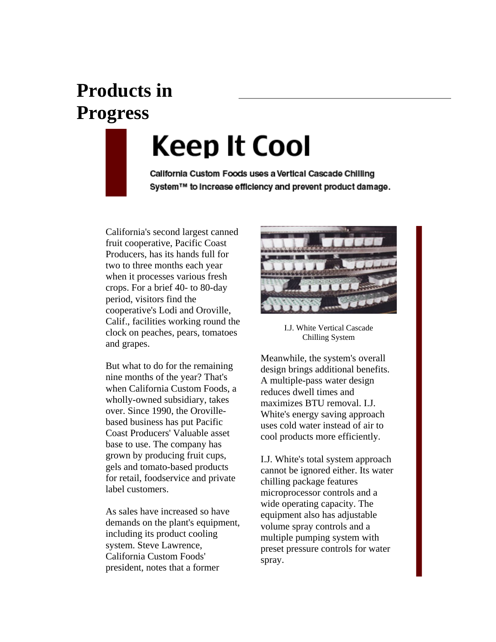## **Products in Progress**

## Keep It Cool

California Custom Foods uses a Vertical Cascade Chilling System™ to increase efficiency and prevent product damage.

California's second largest canned fruit cooperative, Pacific Coast Producers, has its hands full for two to three months each year when it processes various fresh crops. For a brief 40- to 80-day period, visitors find the cooperative's Lodi and Oroville, Calif., facilities working round the clock on peaches, pears, tomatoes and grapes.

But what to do for the remaining nine months of the year? That's when California Custom Foods, a wholly-owned subsidiary, takes over. Since 1990, the Orovillebased business has put Pacific Coast Producers' Valuable asset base to use. The company has grown by producing fruit cups, gels and tomato-based products for retail, foodservice and private label customers.

As sales have increased so have demands on the plant's equipment, including its product cooling system. Steve Lawrence, California Custom Foods' president, notes that a former



I.J. White Vertical Cascade Chilling System

Meanwhile, the system's overall design brings additional benefits. A multiple-pass water design reduces dwell times and maximizes BTU removal. I.J. White's energy saving approach uses cold water instead of air to cool products more efficiently.

I.J. White's total system approach cannot be ignored either. Its water chilling package features microprocessor controls and a wide operating capacity. The equipment also has adjustable volume spray controls and a multiple pumping system with preset pressure controls for water spray.